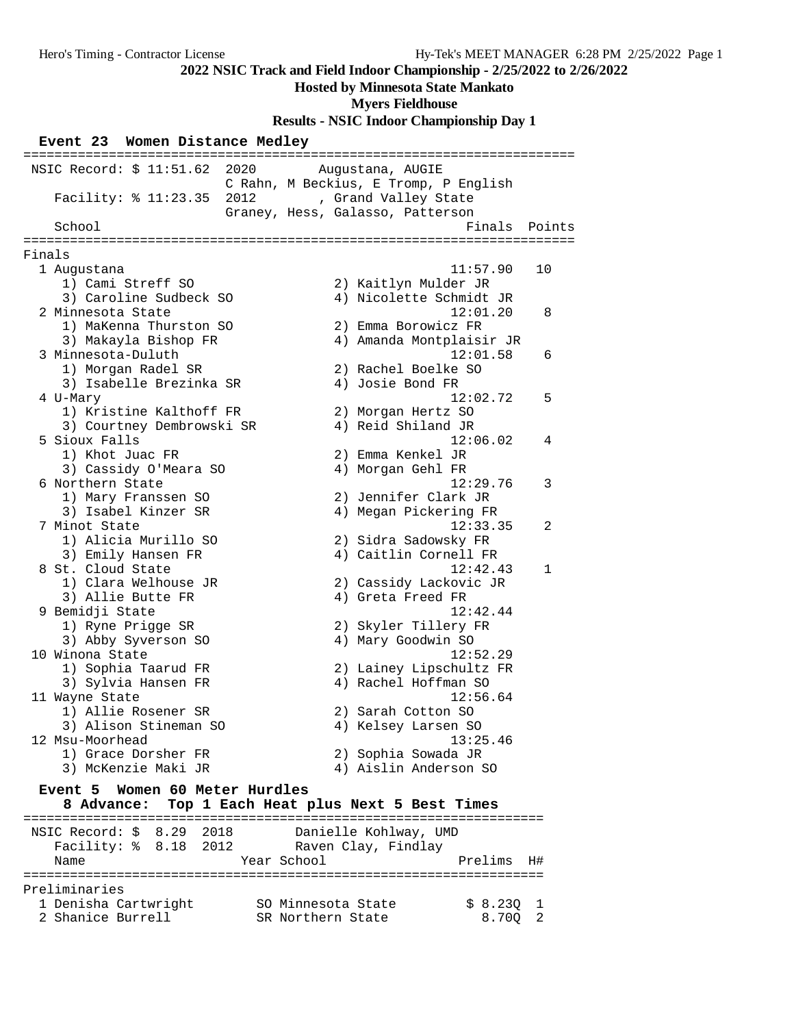#### **Hosted by Minnesota State Mankato**

**Myers Fieldhouse**

**Results - NSIC Indoor Championship Day 1**

|  |  |  | Event 23 Women Distance Medley |  |
|--|--|--|--------------------------------|--|
|--|--|--|--------------------------------|--|

======================================================================= NSIC Record: \$ 11:51.62 2020 Augustana, AUGIE C Rahn, M Beckius, E Tromp, P English Facility: % 11:23.35 2012 , Grand Valley State Graney, Hess, Galasso, Patterson School **Finals** Points ======================================================================= Finals 1 Augustana 11:57.90 10 1) Cami Streff SO 2) Kaitlyn Mulder JR 3) Caroline Sudbeck SO 4) Nicolette Schmidt JR 2 Minnesota State 12:01.20 8 1) MaKenna Thurston SO 2) Emma Borowicz FR 3) Makayla Bishop FR 4) Amanda Montplaisir JR 3 Minnesota-Duluth 12:01.58 6 1) Morgan Radel SR 2) Rachel Boelke SO 3) Isabelle Brezinka SR (4) Josie Bond FR 4 U-Mary 12:02.72 5 1) Kristine Kalthoff FR 2) Morgan Hertz SO 3) Courtney Dembrowski SR 4) Reid Shiland JR 5 Sioux Falls 12:06.02 4 1) Khot Juac FR 2) Emma Kenkel JR 3) Cassidy O'Meara SO 4) Morgan Gehl FR 6 Northern State 12:29.76 3 1) Mary Franssen SO 2) Jennifer Clark JR 3) Isabel Kinzer SR 4) Megan Pickering FR 7 Minot State 12:33.35 2 1) Alicia Murillo SO 2) Sidra Sadowsky FR 3) Emily Hansen FR 4) Caitlin Cornell FR 8 St. Cloud State 12:42.43 1 1) Clara Welhouse JR 2) Cassidy Lackovic JR 3) Allie Butte FR 4) Greta Freed FR 9 Bemidji State 12:42.44 1) Ryne Prigge SR 2) Skyler Tillery FR 3) Abby Syverson SO 4) Mary Goodwin SO 10 Winona State 12:52.29 1) Sophia Taarud FR 2) Lainey Lipschultz FR 3) Sylvia Hansen FR 4) Rachel Hoffman SO 11 Wayne State 12:56.64 1) Allie Rosener SR 2) Sarah Cotton SO 3) Alison Stineman SO 4) Kelsey Larsen SO 12 Msu-Moorhead 13:25.46 1) Grace Dorsher FR 2) Sophia Sowada JR 3) McKenzie Maki JR 4) Aislin Anderson SO **Event 5 Women 60 Meter Hurdles 8 Advance: Top 1 Each Heat plus Next 5 Best Times** =================================================================== NSIC Record: \$ 8.29 2018 Danielle Kohlway, UMD

| Facility: % 8.18 2012<br>Name |  |  | Year School        | Raven Clay, Findlay | Prelims  | H# |
|-------------------------------|--|--|--------------------|---------------------|----------|----|
| Preliminaries                 |  |  |                    |                     |          |    |
| 1 Denisha Cartwright          |  |  | SO Minnesota State |                     | \$8.2301 |    |
| 2 Shanice Burrell             |  |  | SR Northern State  |                     | 8.700 2  |    |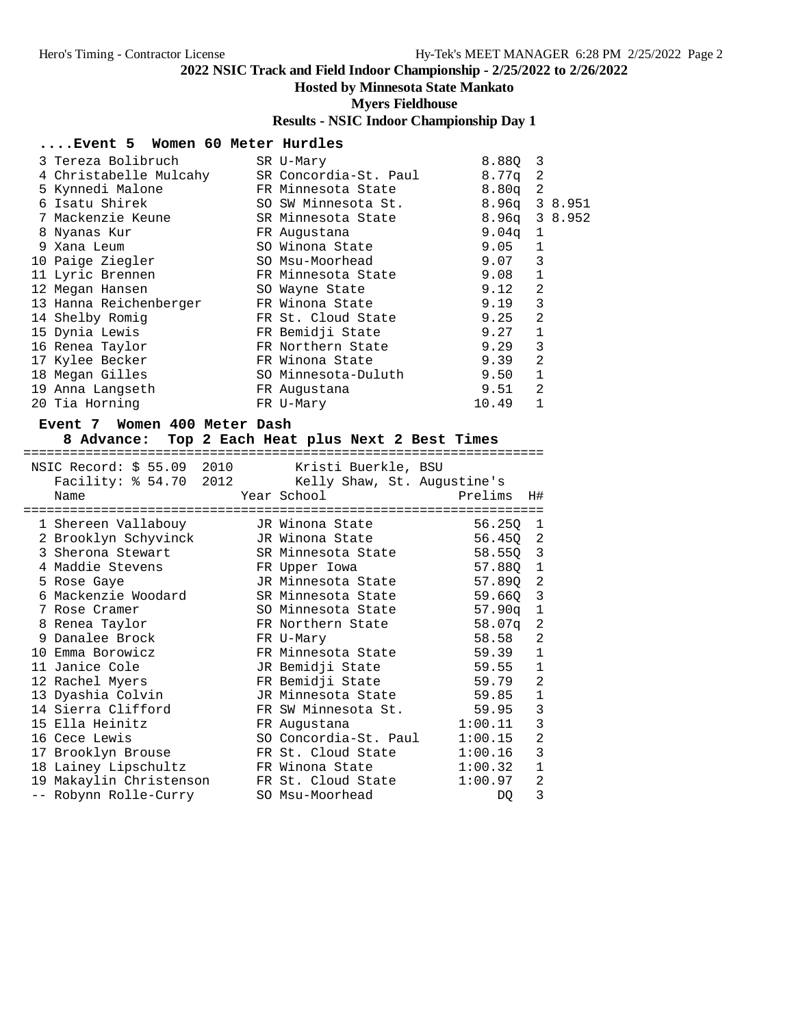## **Hosted by Minnesota State Mankato**

**Myers Fieldhouse**

## **Results - NSIC Indoor Championship Day 1**

### **....Event 5 Women 60 Meter Hurdles**

| 3 Tereza Bolibruch     | SR U-Mary             | 8.880             | -3             |         |
|------------------------|-----------------------|-------------------|----------------|---------|
| 4 Christabelle Mulcahy | SR Concordia-St. Paul | 8.77a             | -2             |         |
| 5 Kynnedi Malone       | FR Minnesota State    | 8.80 <sub>q</sub> | 2              |         |
| 6 Isatu Shirek         | SO SW Minnesota St.   | 8.96a             |                | 3 8.951 |
| 7 Mackenzie Keune      | SR Minnesota State    | $8.96q$ 3 $8.952$ |                |         |
| 8 Nyanas Kur           | FR Augustana          | 9.04a             | 1              |         |
| 9 Xana Leum            | SO Winona State       | 9.05              | 1              |         |
| 10 Paige Ziegler       | SO Msu-Moorhead       | 9.07              | 3              |         |
| 11 Lyric Brennen       | FR Minnesota State    | 9.08              | 1              |         |
| 12 Megan Hansen        | SO Wayne State        | 9.12              | $\overline{2}$ |         |
| 13 Hanna Reichenberger | FR Winona State       | 9.19              | 3              |         |
| 14 Shelby Romig        | FR St. Cloud State    | 9.25              | 2              |         |
| 15 Dynia Lewis         | FR Bemidji State      | 9.27              |                |         |
| 16 Renea Taylor        | FR Northern State     | 9.29              | 3              |         |
| 17 Kylee Becker        | FR Winona State       | 9.39              | $\overline{2}$ |         |
| 18 Megan Gilles        | SO Minnesota-Duluth   | 9.50              | 1              |         |
| 19 Anna Langseth       | FR Augustana          | 9.51              | $\overline{2}$ |         |
| 20 Tia Horning         | FR U-Mary             | 10.49             |                |         |

#### **Event 7 Women 400 Meter Dash**

#### **8 Advance: Top 2 Each Heat plus Next 2 Best Times**

===================================================================

|  | NSIC Record: \$55.09 2010 Kristi Buerkle, BSU    |  |                                                    |          |                         |
|--|--------------------------------------------------|--|----------------------------------------------------|----------|-------------------------|
|  |                                                  |  | Facility: \$54.70 2012 Kelly Shaw, St. Augustine's |          |                         |
|  | Name                                             |  | Year School                                        | Prelims  | H#                      |
|  | 1 Shereen Vallabouy                              |  | JR Winona State                                    | 56.250 1 |                         |
|  | 2 Brooklyn Schyvinck       JR Winona State       |  |                                                    | 56.45Q 2 |                         |
|  | 3 Sherona Stewart                                |  | SR Minnesota State                                 | 58.55Q 3 |                         |
|  | 4 Maddie Stevens                                 |  | FR Upper Iowa                                      | 57.88Q 1 |                         |
|  | 5 Rose Gaye                                      |  | JR Minnesota State                                 | 57.890   | $\overline{2}$          |
|  | 6 Mackenzie Woodard                              |  | SR Minnesota State                                 | 59.66Q 3 |                         |
|  | 7 Rose Cramer                                    |  | SO Minnesota State                                 | 57.90q   | $\mathbf{1}$            |
|  | 8 Renea Taylor                                   |  | FR Northern State                                  | 58.07q   | $\overline{2}$          |
|  | 9 Danalee Brock                                  |  | FR U-Mary                                          | 58.58    | $\overline{c}$          |
|  | 10 Emma Borowicz                                 |  | FR Minnesota State                                 | 59.39    | $1\,$                   |
|  | 11 Janice Cole                                   |  | JR Bemidji State                                   | 59.55 1  |                         |
|  | 12 Rachel Myers                                  |  | FR Bemidji State                                   | 59.79    | $\overline{c}$          |
|  | 13 Dyashia Colvin                                |  | JR Minnesota State                                 | 59.85    | $\mathbf 1$             |
|  | 14 Sierra Clifford                               |  | FR SW Minnesota St.                                | 59.95 3  |                         |
|  | 15 Ella Heinitz                                  |  | FR Augustana                                       | 1:00.11  | $\overline{\mathbf{3}}$ |
|  | 16 Cece Lewis                                    |  | SO Concordia-St. Paul                              | 1:00.15  | $\overline{a}$          |
|  | 17 Brooklyn Brouse                               |  | FR St. Cloud State                                 | 1:00.16  | $\mathbf{3}$            |
|  | 18 Lainey Lipschultz                             |  | FR Winona State                                    | 1:00.32  | $\mathbf 1$             |
|  | 19 Makaylin Christenson       FR St. Cloud State |  |                                                    | 1:00.97  | $\overline{a}$          |
|  | -- Robynn Rolle-Curry                            |  | SO Msu-Moorhead                                    | DQ.      | 3                       |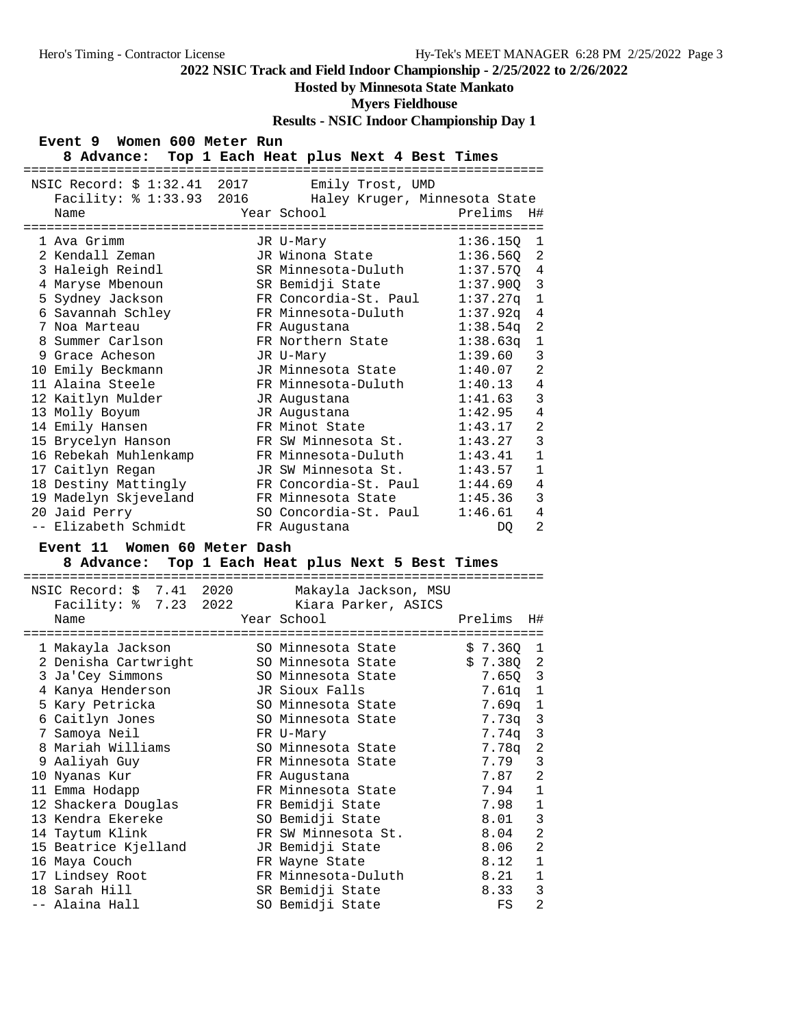## **Hosted by Minnesota State Mankato**

## **Myers Fieldhouse**

**Results - NSIC Indoor Championship Day 1**

| Event 9 Women 600 Meter Run |  |  |  |  |  |
|-----------------------------|--|--|--|--|--|
|-----------------------------|--|--|--|--|--|

| ==========================                               | 8 Advance: Top 1 Each Heat plus Next 4 Best Times |                            |
|----------------------------------------------------------|---------------------------------------------------|----------------------------|
| NSIC Record: \$ 1:32.41 2017<br>Facility: % 1:33.93 2016 | Emily Trost, UMD<br>Haley Kruger, Minnesota State |                            |
| Name                                                     | Year School                                       | Prelims<br>Η#              |
| 1 Ava Grimm                                              | JR U-Mary                                         | 1:36.150<br>1              |
| 2 Kendall Zeman                                          | JR Winona State                                   | 1:36.560 2                 |
| 3 Haleigh Reindl                                         | SR Minnesota-Duluth                               | 1:37.57Q 4                 |
| 4 Maryse Mbenoun                                         | SR Bemidji State                                  | 3<br>1:37.90Q              |
| 5 Sydney Jackson                                         | FR Concordia-St. Paul                             | 1:37.27q<br>$\mathbf{1}$   |
| 6 Savannah Schley                                        | FR Minnesota-Duluth                               | 1:37.92q<br>$\overline{4}$ |
| 7 Noa Marteau                                            | FR Augustana                                      | $\overline{2}$<br>1:38.54q |
| 8 Summer Carlson                                         | FR Northern State                                 | 1:38.63q<br>1              |
| 9 Grace Acheson                                          | JR U-Mary                                         | 3<br>1:39.60               |
| 10 Emily Beckmann                                        | JR Minnesota State                                | $\overline{2}$<br>1:40.07  |
| 11 Alaina Steele                                         | FR Minnesota-Duluth                               | 4<br>1:40.13               |
| 12 Kaitlyn Mulder                                        | JR Augustana                                      | $\overline{3}$<br>1:41.63  |
| 13 Molly Boyum                                           | JR Augustana                                      | $\overline{4}$<br>1:42.95  |
| 14 Emily Hansen                                          | FR Minot State                                    | $\overline{2}$<br>1:43.17  |
| 15 Brycelyn Hanson                                       | FR SW Minnesota St.                               | 3<br>1:43.27               |
| 16 Rebekah Muhlenkamp                                    | FR Minnesota-Duluth                               | $\mathbf{1}$<br>1:43.41    |
| 17 Caitlyn Regan                                         | JR SW Minnesota St.                               | $\mathbf{1}$<br>1:43.57    |
| 18 Destiny Mattingly                                     | FR Concordia-St. Paul                             | 4<br>1:44.69               |
| 19 Madelyn Skjeveland                                    | FR Minnesota State                                | 3<br>1:45.36               |
| 20 Jaid Perry                                            | SO Concordia-St. Paul                             | 4<br>1:46.61               |
| -- Elizabeth Schmidt                                     | FR Augustana                                      | $\overline{a}$<br>DO.      |

#### **Event 11 Women 60 Meter Dash**

#### **8 Advance: Top 1 Each Heat plus Next 5 Best Times**

| NSIC Record: \$ 7.41 2020<br>Name |  | Makayla Jackson, MSU<br>Facility: % 7.23 2022 Kiara Parker, ASICS<br>Year School | Prelims   | H#             |
|-----------------------------------|--|----------------------------------------------------------------------------------|-----------|----------------|
|                                   |  | -------------------                                                              |           |                |
| 1 Makayla Jackson                 |  | SO Minnesota State                                                               | \$7.3601  |                |
| 2 Denisha Cartwright              |  | SO Minnesota State                                                               | \$7.380   | 2              |
| 3 Ja'Cey Simmons                  |  | SO Minnesota State                                                               | $7.65Q$ 3 |                |
| 4 Kanya Henderson                 |  | JR Sioux Falls                                                                   | 7.61q 1   |                |
| 5 Kary Petricka                   |  | SO Minnesota State                                                               | $7.69q$ 1 |                |
| 6 Caitlyn Jones                   |  | SO Minnesota State                                                               | $7.73q$ 3 |                |
| 7 Samoya Neil                     |  | FR U-Mary                                                                        | 7.74q     | $\mathbf{3}$   |
| 8 Mariah Williams                 |  | SO Minnesota State                                                               | 7.78a     | $\sqrt{2}$     |
| 9 Aaliyah Guy                     |  | FR Minnesota State                                                               | 7.79      | 3              |
| 10 Nyanas Kur                     |  | FR Augustana                                                                     | 7.87      | 2              |
| 11 Emma Hodapp                    |  | FR Minnesota State                                                               | 7.94      | $\mathbf{1}$   |
| 12 Shackera Douglas               |  | FR Bemidji State                                                                 | 7.98      | $\mathbf{1}$   |
| 13 Kendra Ekereke                 |  | SO Bemidji State                                                                 | 8.01      | 3              |
| 14 Taytum Klink                   |  | FR SW Minnesota St.                                                              | 8.04      | $\overline{c}$ |
| 15 Beatrice Kjelland              |  | JR Bemidji State                                                                 | 8.06      | $\overline{a}$ |
| 16 Maya Couch                     |  | FR Wayne State                                                                   | 8.12      | $1\,$          |
| 17 Lindsey Root                   |  | FR Minnesota-Duluth                                                              | 8.21      | $\mathbf{1}$   |
| 18 Sarah Hill                     |  | SR Bemidji State                                                                 | 8.33      | 3              |
| -- Alaina Hall                    |  | SO Bemidji State                                                                 | FS        | $\overline{2}$ |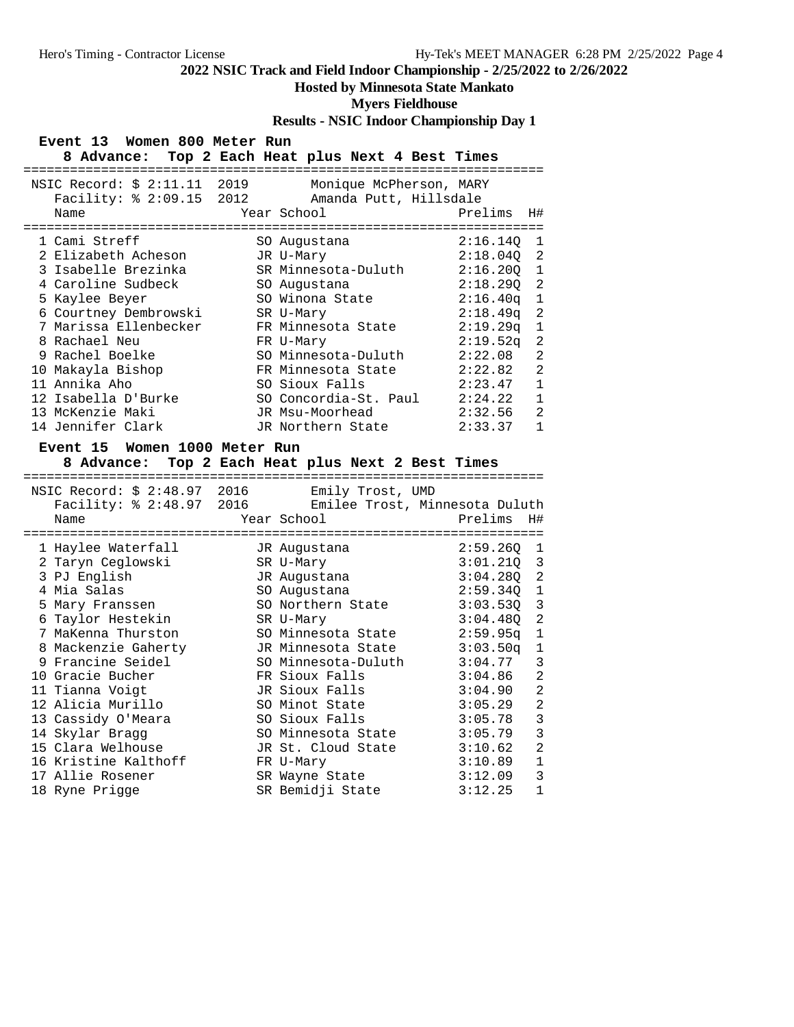## **Hosted by Minnesota State Mankato**

#### **Myers Fieldhouse**

**Results - NSIC Indoor Championship Day 1**

#### **Event 13 Women 800 Meter Run**

| 8 Advance:                                               | Top 2 Each Heat plus Next 4 Best Times            |                      |                |
|----------------------------------------------------------|---------------------------------------------------|----------------------|----------------|
| NSIC Record: \$ 2:11.11 2019<br>Facility: % 2:09.15 2012 | Monique McPherson, MARY<br>Amanda Putt, Hillsdale |                      |                |
| Name                                                     | Year School                                       | Prelims              | H#             |
| 1 Cami Streff                                            | SO Augustana                                      | 2:16.140             | 1              |
| 2 Elizabeth Acheson                                      | JR U-Mary                                         | 2:18.040             | 2              |
| 3 Isabelle Brezinka                                      | SR Minnesota-Duluth                               | 2:16.200             | 1              |
| 4 Caroline Sudbeck                                       | SO Augustana                                      | 2:18.290             | 2              |
| 5 Kaylee Beyer                                           | SO Winona State                                   | 2:16.40q             | $\mathbf{1}$   |
| 6 Courtney Dembrowski                                    | SR U-Mary                                         | 2:18.49 <sub>q</sub> | 2              |
| 7 Marissa Ellenbecker                                    | FR Minnesota State                                | 2:19.29q             | 1              |
| 8 Rachael Neu                                            | FR U-Mary                                         | 2:19.52q             | 2              |
| 9 Rachel Boelke                                          | SO Minnesota-Duluth                               | 2:22.08              | $\mathfrak{D}$ |
| 10 Makayla Bishop                                        | FR Minnesota State                                | 2:22.82              | $\overline{2}$ |
| 11 Annika Aho                                            | SO Sioux Falls                                    | 2:23.47              | $\mathbf{1}$   |
| 12 Isabella D'Burke                                      | SO Concordia-St. Paul                             | 2:24.22              | 1              |
| 13 McKenzie Maki                                         | JR Msu-Moorhead                                   | 2:32.56              | $\mathfrak{D}$ |
| 14 Jennifer Clark                                        | JR Northern State                                 | 2:33.37              |                |

#### **Event 15 Women 1000 Meter Run**

## **8 Advance: Top 2 Each Heat plus Next 2 Best Times**

===================================================================

| NSIC Record: \$ 2:48.97 2016                            | Emily Trost, UMD    |                              |  |
|---------------------------------------------------------|---------------------|------------------------------|--|
| Facility: % 2:48.97 2016 Emilee Trost, Minnesota Duluth |                     |                              |  |
| Name                                                    | Year School         | Prelims<br>H#                |  |
|                                                         |                     | ============================ |  |
| 1 Haylee Waterfall                                      | JR Augustana        | 2:59.260 1                   |  |
| 2 Taryn Ceglowski                                       | SR U-Mary           | $3:01.210$ 3                 |  |
| 3 PJ English                                            | JR Augustana        | $3:04.280$ 2                 |  |
| 4 Mia Salas                                             | SO Augustana        | $2:59.34Q$ 1                 |  |
| 5 Mary Franssen                                         | SO Northern State   | $3:03.53Q$ 3                 |  |
| 6 Taylor Hestekin                                       | SR U-Mary           | $3:04.480$ 2                 |  |
| 7 MaKenna Thurston                                      | SO Minnesota State  | $2:59.95q$ 1                 |  |
| 8 Mackenzie Gaherty         JR Minnesota State          |                     | $3:03.50q$ 1                 |  |
| 9 Francine Seidel                                       | SO Minnesota-Duluth | 3<br>3:04.77                 |  |
| 10 Gracie Bucher                                        | FR Sioux Falls      | $\overline{2}$<br>3:04.86    |  |
| 11 Tianna Voigt                                         | JR Sioux Falls      | $\overline{2}$<br>3:04.90    |  |
| 12 Alicia Murillo                                       | SO Minot State      | $\overline{2}$<br>3:05.29    |  |
| 13 Cassidy O'Meara                                      | SO Sioux Falls      | 3<br>3:05.78                 |  |
| 14 Skylar Bragg                                         | SO Minnesota State  | 3<br>3:05.79                 |  |
| 15 Clara Welhouse                                       | JR St. Cloud State  | $\overline{2}$<br>3:10.62    |  |
| 16 Kristine Kalthoff                                    | FR U-Mary           | $\mathbf{1}$<br>3:10.89      |  |
| 17 Allie Rosener                                        | SR Wayne State      | 3<br>3:12.09                 |  |
| 18 Ryne Prigge                                          | SR Bemidji State    | $\mathbf{1}$<br>3:12.25      |  |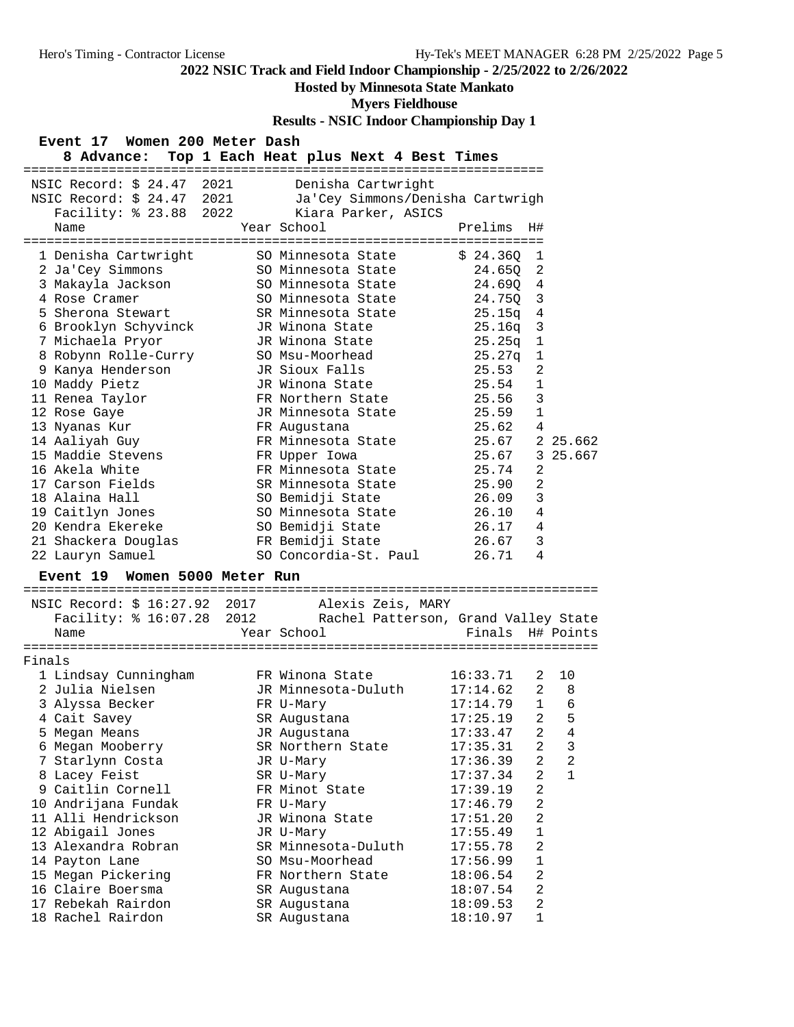## **Hosted by Minnesota State Mankato**

#### **Myers Fieldhouse**

|        | <b>Results - POTC HROOT CHAMPIOLISHIP Day 1</b>                         |  |                                                       |                  |                |                |  |  |
|--------|-------------------------------------------------------------------------|--|-------------------------------------------------------|------------------|----------------|----------------|--|--|
|        | Event 17 Women 200 Meter Dash<br>Top 1 Each Heat plus Next 4 Best Times |  |                                                       |                  |                |                |  |  |
|        | 8 Advance:                                                              |  |                                                       |                  |                |                |  |  |
|        | NSIC Record: \$ 24.47 2021                                              |  | Denisha Cartwright                                    |                  |                |                |  |  |
|        | NSIC Record: $$24.47$ 2021                                              |  | Denisna Cartwrigh<br>Ja'Cey Simmons/Denisha Cartwrigh |                  |                |                |  |  |
|        | Facility: % 23.88 2022                                                  |  | Kiara Parker, ASICS                                   |                  |                |                |  |  |
|        | Name                                                                    |  | Year School                                           | Prelims          | H#             |                |  |  |
|        |                                                                         |  |                                                       |                  |                |                |  |  |
|        | 1 Denisha Cartwright                                                    |  | SO Minnesota State                                    | \$24.360         | 1              |                |  |  |
|        | 2 Ja'Cey Simmons                                                        |  | SO Minnesota State                                    | 24.650           | 2              |                |  |  |
|        | 3 Makayla Jackson                                                       |  | SO Minnesota State                                    | 24.690           | 4              |                |  |  |
|        | 4 Rose Cramer                                                           |  | SO Minnesota State                                    | 24.75Q           | $\overline{3}$ |                |  |  |
|        | 5 Sherona Stewart                                                       |  | SR Minnesota State                                    | 25.15q           | 4              |                |  |  |
|        | 6 Brooklyn Schyvinck                                                    |  | JR Winona State                                       | 25.16q           | 3              |                |  |  |
|        | 7 Michaela Pryor                                                        |  | JR Winona State                                       | 25.25q           | $\mathbf 1$    |                |  |  |
|        | 8 Robynn Rolle-Curry                                                    |  | SO Msu-Moorhead                                       | 25.27q           | $\mathbf{1}$   |                |  |  |
|        | 9 Kanya Henderson                                                       |  | JR Sioux Falls                                        | 25.53            | 2              |                |  |  |
|        | 10 Maddy Pietz                                                          |  | JR Winona State                                       | 25.54            | 1              |                |  |  |
|        | 11 Renea Taylor                                                         |  | FR Northern State                                     | 25.56            | 3              |                |  |  |
|        | 12 Rose Gaye                                                            |  | JR Minnesota State                                    | 25.59            | 1              |                |  |  |
|        | 13 Nyanas Kur                                                           |  | FR Augustana                                          | 25.62            | 4              |                |  |  |
|        | 14 Aaliyah Guy                                                          |  | FR Minnesota State                                    | 25.67            |                | 2 25.662       |  |  |
|        | 15 Maddie Stevens                                                       |  | FR Upper Iowa                                         | 25.67            |                | 3 25.667       |  |  |
|        | 16 Akela White                                                          |  | FR Minnesota State                                    | 25.74            | 2              |                |  |  |
|        | 17 Carson Fields                                                        |  | SR Minnesota State                                    | 25.90            | 2              |                |  |  |
|        | 18 Alaina Hall                                                          |  | SO Bemidji State                                      | 26.09            | 3              |                |  |  |
|        | 19 Caitlyn Jones                                                        |  | SO Minnesota State                                    | 26.10            | 4              |                |  |  |
|        | 20 Kendra Ekereke                                                       |  | SO Bemidji State                                      | 26.17            | 4              |                |  |  |
|        | 21 Shackera Douglas                                                     |  | FR Bemidji State                                      | 26.67            | 3              |                |  |  |
|        | 22 Lauryn Samuel                                                        |  | SO Concordia-St. Paul                                 | 26.71            | 4              |                |  |  |
|        | Women 5000 Meter Run<br><b>Event 19</b>                                 |  |                                                       |                  |                |                |  |  |
|        | NSIC Record: \$ 16:27.92 2017                                           |  | Alexis Zeis, MARY                                     |                  |                |                |  |  |
|        | Facility: \$ 16:07.28 2012 Rachel Patterson, Grand Valley State         |  |                                                       |                  |                |                |  |  |
|        | Name                                                                    |  | Year School                                           | Finals H# Points |                |                |  |  |
|        |                                                                         |  |                                                       |                  |                |                |  |  |
| Finals |                                                                         |  |                                                       |                  |                |                |  |  |
|        | 1 Lindsay Cunningham                                                    |  | FR Winona State                                       | 16:33.71         | 2              | 10             |  |  |
|        | 2 Julia Nielsen                                                         |  | JR Minnesota-Duluth                                   | 17:14.62         | $\overline{a}$ | 8              |  |  |
|        | 3 Alyssa Becker                                                         |  | FR U-Mary                                             | $17:14.79$ 1 6   |                |                |  |  |
|        | 4 Cait Savey                                                            |  | SR Augustana                                          | 17:25.19         | 2              | 5              |  |  |
|        | 5 Megan Means                                                           |  | JR Augustana                                          | 17:33.47         | 2              | 4              |  |  |
|        | 6 Megan Mooberry                                                        |  | SR Northern State                                     | 17:35.31         | 2              | 3              |  |  |
|        | 7 Starlynn Costa                                                        |  | JR U-Mary                                             | 17:36.39         | $\overline{2}$ | $\overline{a}$ |  |  |
|        | 8 Lacey Feist                                                           |  | SR U-Mary                                             | 17:37.34         | 2              | $\mathbf{1}$   |  |  |
|        | 9 Caitlin Cornell                                                       |  | FR Minot State                                        | 17:39.19         | 2              |                |  |  |
|        |                                                                         |  | FR U-Mary                                             | 17:46.79         | $\overline{a}$ |                |  |  |
|        | 10 Andrijana Fundak                                                     |  |                                                       |                  |                |                |  |  |
|        | 11 Alli Hendrickson                                                     |  | JR Winona State                                       | 17:51.20         | 2              |                |  |  |
|        | 12 Abigail Jones                                                        |  | JR U-Mary                                             | 17:55.49         | 1              |                |  |  |
|        | 13 Alexandra Robran                                                     |  | SR Minnesota-Duluth                                   | 17:55.78         | 2              |                |  |  |
|        | 14 Payton Lane                                                          |  | SO Msu-Moorhead                                       | 17:56.99         | $\mathbf 1$    |                |  |  |
|        |                                                                         |  | FR Northern State                                     | 18:06.54         | 2              |                |  |  |
|        | 15 Megan Pickering<br>16 Claire Boersma                                 |  | SR Augustana                                          | 18:07.54         | 2              |                |  |  |
|        | 17 Rebekah Rairdon                                                      |  | SR Augustana                                          | 18:09.53         | 2              |                |  |  |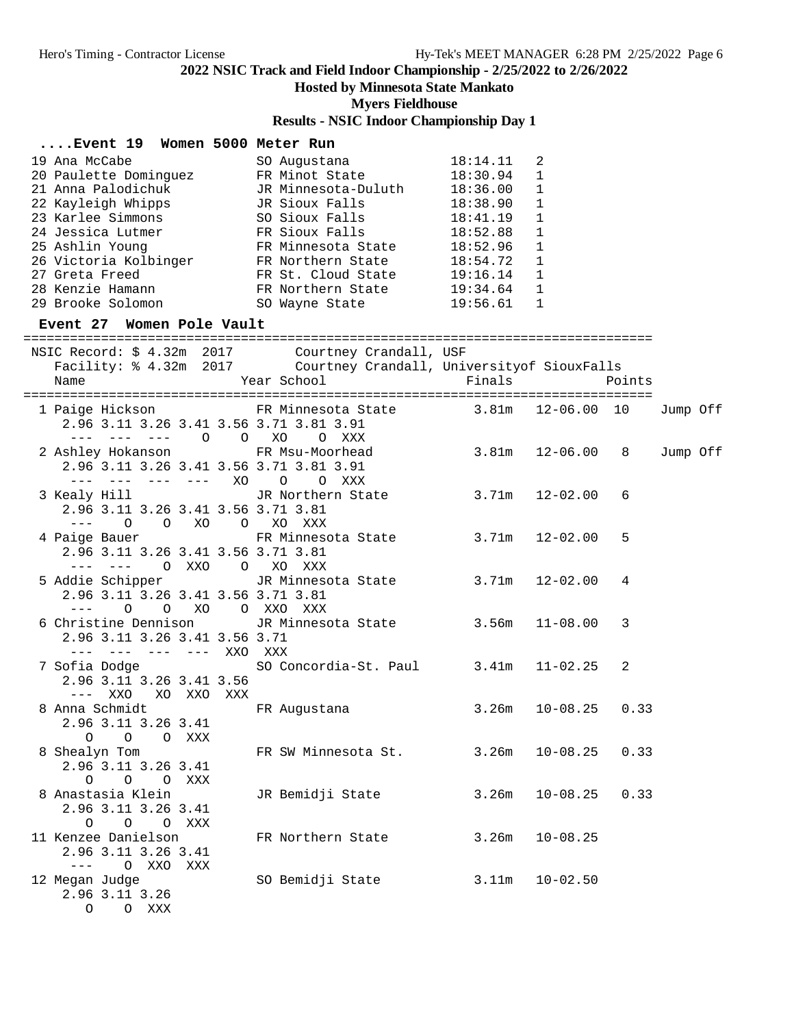### **Hosted by Minnesota State Mankato**

**Myers Fieldhouse**

## **Results - NSIC Indoor Championship Day 1**

| $\ldots$ . Event 19<br>Women 5000 Meter Run |                     |          |              |
|---------------------------------------------|---------------------|----------|--------------|
| 19 Ana McCabe                               | SO Augustana        | 18:14.11 | 2            |
| 20 Paulette Dominguez                       | FR Minot State      | 18:30.94 | 1            |
| 21 Anna Palodichuk                          | JR Minnesota-Duluth | 18:36.00 | 1            |
| 22 Kayleigh Whipps                          | JR Sioux Falls      | 18:38.90 | 1            |
| 23 Karlee Simmons                           | SO Sioux Falls      | 18:41.19 | $\mathbf{1}$ |
| 24 Jessica Lutmer                           | FR Sioux Falls      | 18:52.88 | 1            |
| 25 Ashlin Young                             | FR Minnesota State  | 18:52.96 | 1            |
| 26 Victoria Kolbinger                       | FR Northern State   | 18:54.72 | $\mathbf{1}$ |
| 27 Greta Freed                              | FR St. Cloud State  | 19:16.14 | $\mathbf{1}$ |
| 28 Kenzie Hamann                            | FR Northern State   | 19:34.64 | 1            |
| 29 Brooke Solomon                           | SO Wayne State      | 19:56.61 |              |

#### **Event 27 Women Pole Vault**

================================================================================= NSIC Record: \$ 4.32m 2017 Courtney Crandall, USF Facility: % 4.32m 2017 Courtney Crandall, Universityof SiouxFalls Name  $Year School$  Finals Points ================================================================================= 1 Paige Hickson FR Minnesota State 3.81m 12-06.00 10 Jump Off 2.96 3.11 3.26 3.41 3.56 3.71 3.81 3.91 --- --- --- O O XO O XXX 2 Ashley Hokanson FR Msu-Moorhead 3.81m 12-06.00 8 Jump Off 2.96 3.11 3.26 3.41 3.56 3.71 3.81 3.91 --- --- --- --- XO O O XXX 3 Kealy Hill JR Northern State 3.71m 12-02.00 6 2.96 3.11 3.26 3.41 3.56 3.71 3.81 --- O O XO O XO XXX 4 Paige Bauer FR Minnesota State 3.71m 12-02.00 5 2.96 3.11 3.26 3.41 3.56 3.71 3.81 --- --- O XXO O XO XXX 5 Addie Schipper JR Minnesota State 3.71m 12-02.00 4 2.96 3.11 3.26 3.41 3.56 3.71 3.81 --- O O XO O XXO XXX 6 Christine Dennison JR Minnesota State 3.56m 11-08.00 3 2.96 3.11 3.26 3.41 3.56 3.71 --- --- --- --- XXO XXX SO Concordia-St. Paul 3.41m 11-02.25 2 2.96 3.11 3.26 3.41 3.56 --- XXO XO XXO XXX 8 Anna Schmidt FR Augustana 3.26m 10-08.25 0.33 2.96 3.11 3.26 3.41 O O O XXX 8 Shealyn Tom FR SW Minnesota St. 3.26m 10-08.25 0.33 2.96 3.11 3.26 3.41 O O O XXX<br>8 Anastasia Klein JR Bemidji State 3.26m 10-08.25 0.33 2.96 3.11 3.26 3.41 O O O XXX 11 Kenzee Danielson FR Northern State 3.26m 10-08.25 2.96 3.11 3.26 3.41 --- O XXO XXX<br>12 Megan Judge SO Bemidji State 3.11m 10-02.50 2.96 3.11 3.26 O O XXX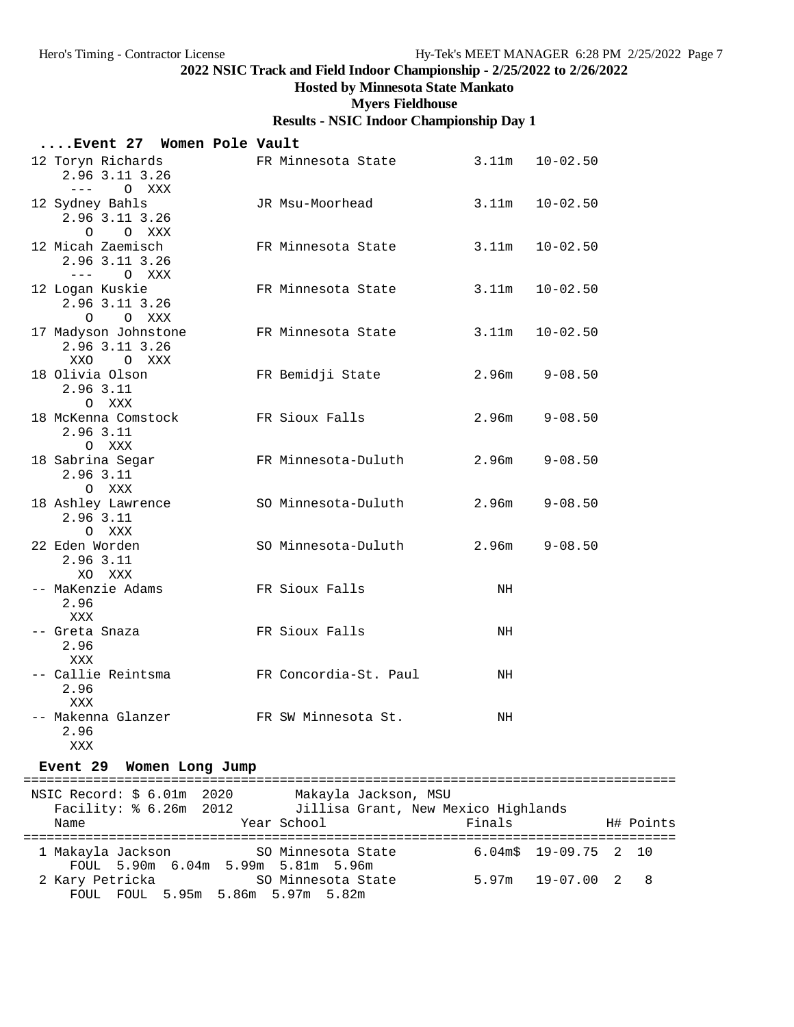#### **Hosted by Minnesota State Mankato**

#### **Myers Fieldhouse**

#### **Results - NSIC Indoor Championship Day 1**

| Event 27 Women Pole Vault                                                                                                                                                                                                                                                                                                                                                                                                                    |                       |       |                    |
|----------------------------------------------------------------------------------------------------------------------------------------------------------------------------------------------------------------------------------------------------------------------------------------------------------------------------------------------------------------------------------------------------------------------------------------------|-----------------------|-------|--------------------|
| 12 Toryn Richards<br>2.96 3.11 3.26<br>$\frac{1}{2} \frac{1}{2} \frac{1}{2} \frac{1}{2} \frac{1}{2} \frac{1}{2} \frac{1}{2} \frac{1}{2} \frac{1}{2} \frac{1}{2} \frac{1}{2} \frac{1}{2} \frac{1}{2} \frac{1}{2} \frac{1}{2} \frac{1}{2} \frac{1}{2} \frac{1}{2} \frac{1}{2} \frac{1}{2} \frac{1}{2} \frac{1}{2} \frac{1}{2} \frac{1}{2} \frac{1}{2} \frac{1}{2} \frac{1}{2} \frac{1}{2} \frac{1}{2} \frac{1}{2} \frac{1}{2} \frac{$<br>O XXX | FR Minnesota State    |       | $3.11m$ $10-02.50$ |
| 12 Sydney Bahls<br>2.96 3.11 3.26<br>O O XXX                                                                                                                                                                                                                                                                                                                                                                                                 | JR Msu-Moorhead       | 3.11m | $10 - 02.50$       |
| 12 Micah Zaemisch<br>2.96 3.11 3.26<br>$---$ 0 XXX                                                                                                                                                                                                                                                                                                                                                                                           | FR Minnesota State    | 3.11m | $10 - 02.50$       |
| 12 Logan Kuskie<br>2.96 3.11 3.26<br>O O XXX                                                                                                                                                                                                                                                                                                                                                                                                 | FR Minnesota State    | 3.11m | $10 - 02.50$       |
| 17 Madyson Johnstone<br>2.96 3.11 3.26<br>XXO OXXX                                                                                                                                                                                                                                                                                                                                                                                           | FR Minnesota State    | 3.11m | $10 - 02.50$       |
| 18 Olivia Olson<br>2.96 3.11<br>O XXX                                                                                                                                                                                                                                                                                                                                                                                                        | FR Bemidji State      |       | $2.96m$ $9-08.50$  |
| 18 McKenna Comstock<br>2.96 3.11<br>O XXX                                                                                                                                                                                                                                                                                                                                                                                                    | FR Sioux Falls        | 2.96m | $9 - 08.50$        |
| 18 Sabrina Segar<br>2.96 3.11<br>O XXX                                                                                                                                                                                                                                                                                                                                                                                                       | FR Minnesota-Duluth   | 2.96m | $9 - 08.50$        |
| 18 Ashley Lawrence<br>2.96 3.11<br>O XXX                                                                                                                                                                                                                                                                                                                                                                                                     | SO Minnesota-Duluth   |       | $2.96m$ $9-08.50$  |
| 22 Eden Worden<br>2.96 3.11<br>XO XXX                                                                                                                                                                                                                                                                                                                                                                                                        | SO Minnesota-Duluth   | 2.96m | $9 - 08.50$        |
| -- MaKenzie Adams<br>2.96<br>XXX                                                                                                                                                                                                                                                                                                                                                                                                             | FR Sioux Falls        | NH    |                    |
| -- Greta Snaza<br>2.96<br>XXX                                                                                                                                                                                                                                                                                                                                                                                                                | FR Sioux Falls        | NH    |                    |
| -- Callie Reintsma<br>2.96<br>XXX                                                                                                                                                                                                                                                                                                                                                                                                            | FR Concordia-St. Paul | NH    |                    |
| -- Makenna Glanzer<br>2.96<br><b>XXX</b>                                                                                                                                                                                                                                                                                                                                                                                                     | FR SW Minnesota St.   | NH    |                    |

#### **Event 29 Women Long Jump**

==================================================================================== NSIC Record: \$ 6.01m 2020 Makayla Jackson, MSU Facility: % 6.26m 2012 Jillisa Grant, New Mexico Highlands Name The Year School The Finals H# Points ==================================================================================== 1 Makayla Jackson SO Minnesota State 6.04m\$ 19-09.75 2 10 FOUL 5.90m 6.04m 5.99m 5.81m 5.96m 2 Kary Petricka SO Minnesota State 5.97m 19-07.00 2 8 FOUL FOUL 5.95m 5.86m 5.97m 5.82m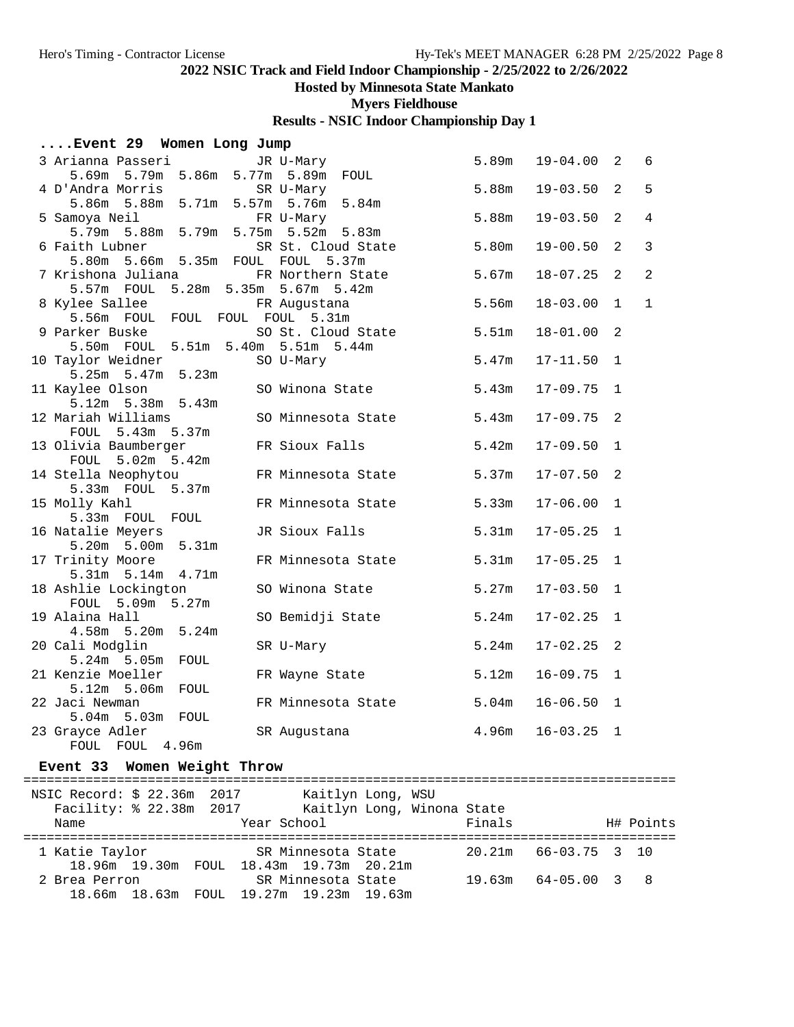#### **Hosted by Minnesota State Mankato**

**Myers Fieldhouse**

## **Results - NSIC Indoor Championship Day 1**

#### **....Event 29 Women Long Jump**

| 3 Arianna Passeri                     | JR U-Mary          | 5.89m             | $19 - 04.00$ | 2              | 6              |
|---------------------------------------|--------------------|-------------------|--------------|----------------|----------------|
| 5.69m 5.79m 5.86m 5.77m 5.89m FOUL    |                    |                   |              |                |                |
| 4 D'Andra Morris                      | SR U-Mary          | 5.88m             | $19 - 03.50$ | $\overline{2}$ | 5              |
| 5.86m 5.88m 5.71m 5.57m 5.76m 5.84m   |                    |                   |              |                |                |
| 5 Samoya Neil                         | FR U-Mary          | 5.88m             | $19 - 03.50$ | 2              | $\overline{4}$ |
|                                       |                    |                   |              |                |                |
| 6 Faith Lubner                        | SR St. Cloud State | 5.80m             | $19 - 00.50$ | 2              | $\overline{3}$ |
| 5.80m  5.66m  5.35m  FOUL  FOUL       | 5.37m              |                   |              |                |                |
| 7 Krishona Juliana                    | FR Northern State  | 5.67m             | $18 - 07.25$ | 2              | 2              |
| 5.57m FOUL 5.28m 5.35m 5.67m 5.42m    |                    |                   |              |                |                |
| 8 Kylee Sallee                        | FR Augustana       | 5.56m             | $18 - 03.00$ | $\mathbf{1}$   | $\mathbf{1}$   |
| 5.56m FOUL FOUL FOUL FOUL 5.31m       |                    |                   |              |                |                |
| 9 Parker Buske                        | SO St. Cloud State | 5.51m             | $18 - 01.00$ | 2              |                |
| 5.50m FOUL 5.51m 5.40m 5.51m 5.44m    |                    |                   |              |                |                |
| 10 Taylor Weidner                     | SO U-Mary          | 5.47m             | $17 - 11.50$ | $\mathbf{1}$   |                |
| $5.25m$ $5.47m$ $5.23m$               |                    |                   |              |                |                |
| 11 Kaylee Olson                       | SO Winona State    | 5.43m             | $17 - 09.75$ | $\mathbf{1}$   |                |
| 5.12m 5.38m 5.43m                     |                    |                   |              |                |                |
| 12 Mariah Williams                    | SO Minnesota State | 5.43m             | $17 - 09.75$ | 2              |                |
| FOUL 5.43m 5.37m                      |                    |                   |              |                |                |
| 13 Olivia Baumberger                  | FR Sioux Falls     | 5.42m             | $17 - 09.50$ | $\mathbf{1}$   |                |
| FOUL 5.02m 5.42m                      |                    |                   |              |                |                |
| 14 Stella Neophytou                   | FR Minnesota State | 5.37m             | $17 - 07.50$ | 2              |                |
| 5.33m FOUL 5.37m                      |                    |                   |              |                |                |
| 15 Molly Kahl                         | FR Minnesota State | 5.33m             | $17 - 06.00$ | $\mathbf{1}$   |                |
| 5.33m FOUL FOUL                       |                    |                   |              |                |                |
| 16 Natalie Meyers                     | JR Sioux Falls     | 5.31 <sub>m</sub> | $17 - 05.25$ | $\mathbf{1}$   |                |
| 5.20m 5.00m 5.31m                     |                    |                   |              |                |                |
| 17 Trinity Moore<br>5.31m 5.14m 4.71m | FR Minnesota State | 5.31 <sub>m</sub> | $17 - 05.25$ | $\mathbf{1}$   |                |
| 18 Ashlie Lockington                  | SO Winona State    | 5.27m             | $17 - 03.50$ | $\mathbf 1$    |                |
| FOUL 5.09m 5.27m                      |                    |                   |              |                |                |
| 19 Alaina Hall                        | SO Bemidji State   | 5.24m             | $17 - 02.25$ | $\mathbf{1}$   |                |
| 4.58m 5.20m 5.24m                     |                    |                   |              |                |                |
| 20 Cali Modglin                       | SR U-Mary          | 5.24m             | $17 - 02.25$ | 2              |                |
| 5.24m 5.05m FOUL                      |                    |                   |              |                |                |
| 21 Kenzie Moeller                     | FR Wayne State     | 5.12m             | $16 - 09.75$ | $\mathbf{1}$   |                |
| $5.12m$ 5.06m<br>FOUL                 |                    |                   |              |                |                |
| 22 Jaci Newman                        | FR Minnesota State | 5.04m             | $16 - 06.50$ | $\mathbf{1}$   |                |
| 5.04m 5.03m FOUL                      |                    |                   |              |                |                |
| 23 Grayce Adler                       | SR Augustana       | 4.96m             | $16 - 03.25$ | $\mathbf 1$    |                |
| FOUL FOUL 4.96m                       |                    |                   |              |                |                |

#### **Event 33 Women Weight Throw**

==================================================================================== NSIC Record: \$ 22.36m 2017 Kaitlyn Long, WSU Facility: % 22.38m 2017 Kaitlyn Long, Winona State Name Year School Finals H# Points ==================================================================================== 1 Katie Taylor SR Minnesota State 20.21m 66-03.75 3 10 18.96m 19.30m FOUL 18.43m 19.73m 20.21m 2 Brea Perron SR Minnesota State 19.63m 64-05.00 3 8 18.66m 18.63m FOUL 19.27m 19.23m 19.63m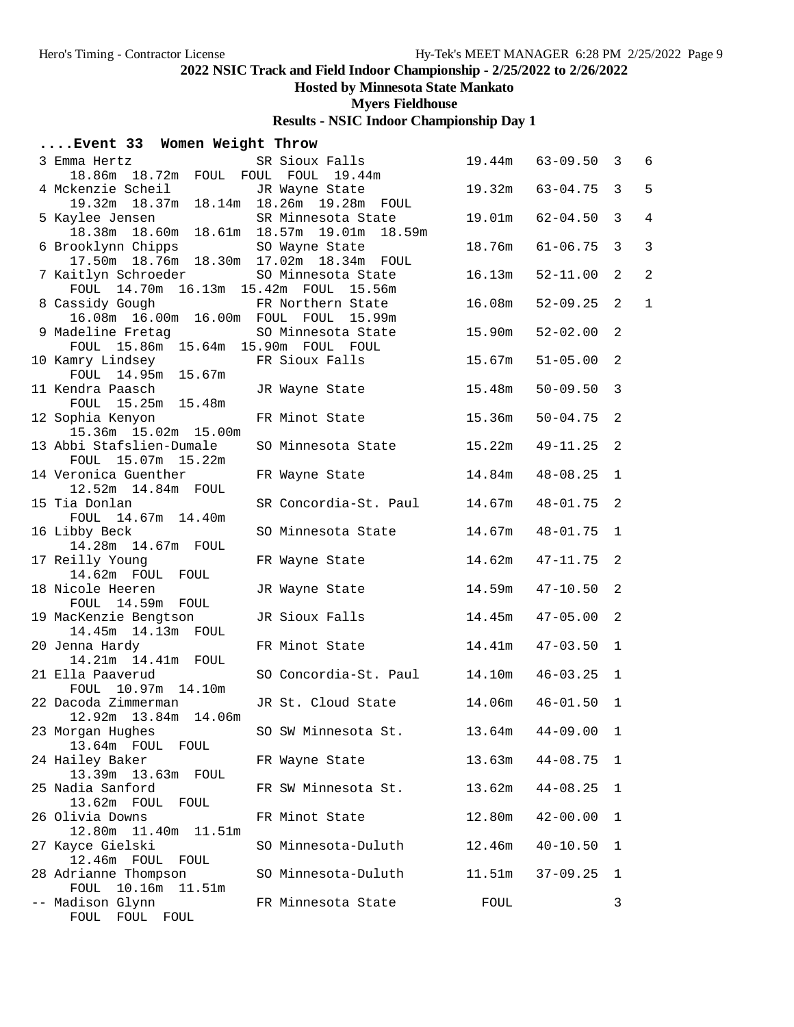# **Hosted by Minnesota State Mankato**

**Myers Fieldhouse**

|  |  |  |  | Event 33 Women Weight Throw |  |
|--|--|--|--|-----------------------------|--|
|--|--|--|--|-----------------------------|--|

| 3 Emma Hertz                                                                                           | SR Sioux Falls        | 19.44m | $63 - 09.50$ 3 |                         | 6              |
|--------------------------------------------------------------------------------------------------------|-----------------------|--------|----------------|-------------------------|----------------|
| 18.86m 18.72m FOUL FOUL FOUL 19.44m<br>4 Mckenzie Scheil                                               | JR Wayne State        | 19.32m | $63 - 04.75$   | $\overline{\mathbf{3}}$ | 5              |
| 19.32m 18.37m 18.14m 18.26m 19.28m FOUL                                                                |                       |        |                |                         |                |
| 5 Kaylee Jensen<br>18.38m  18.60m  18.61m  18.57m  19.01m  18.59m                                      | SR Minnesota State    | 19.01m | $62 - 04.50$   | $\overline{3}$          | $\overline{4}$ |
| 6 Brooklynn Chipps<br>17.50m  18.76m  18.30m  17.02m  18.34m  FOUL                                     | SO Wayne State        | 18.76m | $61 - 06.75$   | $\mathbf{3}$            | 3              |
| 7 Kaitlyn Schroeder                                                                                    | SO Minnesota State    | 16.13m | $52 - 11.00$   | 2                       | $\overline{a}$ |
| FOUL 14.70m 16.13m 15.42m FOUL 15.56m<br>8 Cassidy Gough<br>16.08m  16.00m  16.00m  FOUL  FOUL  15.99m | FR Northern State     | 16.08m | $52 - 09.25$   | 2                       | $\mathbf{1}$   |
| 9 Madeline Fretag<br>FOUL 15.86m 15.64m 15.90m FOUL FOUL                                               | SO Minnesota State    | 15.90m | $52 - 02.00$   | $\overline{2}$          |                |
| 10 Kamry Lindsey<br>FOUL 14.95m 15.67m                                                                 | FR Sioux Falls        | 15.67m | $51 - 05.00$   | $\overline{2}$          |                |
| 11 Kendra Paasch<br>FOUL 15.25m 15.48m                                                                 | JR Wayne State        | 15.48m | $50 - 09.50$   | $\overline{\mathbf{3}}$ |                |
| 12 Sophia Kenyon<br>15.36m 15.02m 15.00m                                                               | FR Minot State        | 15.36m | $50 - 04.75$   | 2                       |                |
| 13 Abbi Stafslien-Dumale<br>FOUL 15.07m 15.22m                                                         | SO Minnesota State    | 15.22m | 49-11.25       | 2                       |                |
| 14 Veronica Guenther<br>12.52m  14.84m  FOUL                                                           | FR Wayne State        | 14.84m | $48 - 08.25$   | $\mathbf{1}$            |                |
| 15 Tia Donlan<br>FOUL 14.67m 14.40m                                                                    | SR Concordia-St. Paul | 14.67m | $48 - 01.75$ 2 |                         |                |
| 16 Libby Beck<br>14.28m  14.67m  FOUL                                                                  | SO Minnesota State    | 14.67m | $48 - 01.75$   | $\mathbf{1}$            |                |
| 17 Reilly Young<br>14.62m FOUL FOUL                                                                    | FR Wayne State        | 14.62m | $47 - 11.75$ 2 |                         |                |
| 18 Nicole Heeren<br>FOUL 14.59m FOUL                                                                   | JR Wayne State        | 14.59m | $47 - 10.50$   | $\overline{2}$          |                |
| 19 MacKenzie Bengtson<br>14.45m  14.13m  FOUL                                                          | JR Sioux Falls        | 14.45m | $47 - 05.00$   | -2                      |                |
| 20 Jenna Hardy<br>14.21m  14.41m  FOUL                                                                 | FR Minot State        | 14.41m | $47 - 03.50$   | $\mathbf{1}$            |                |
| 21 Ella Paaverud<br>FOUL 10.97m 14.10m                                                                 | SO Concordia-St. Paul | 14.10m | $46 - 03.25$ 1 |                         |                |
| 22 Dacoda Zimmerman<br>12.92m  13.84m  14.06m                                                          | JR St. Cloud State    | 14.06m | $46 - 01.50$ 1 |                         |                |
| 23 Morgan Hughes<br>13.64m FOUL FOUL                                                                   | SO SW Minnesota St.   | 13.64m | $44 - 09.00$ 1 |                         |                |
| 24 Hailey Baker<br>13.39m  13.63m  FOUL                                                                | FR Wayne State        | 13.63m | $44 - 08.75$   | $\mathbf{1}$            |                |
| 25 Nadia Sanford<br>13.62m FOUL FOUL                                                                   | FR SW Minnesota St.   | 13.62m | $44 - 08.25$   | $\mathbf{1}$            |                |
| 26 Olivia Downs<br>11.40m<br>12.80m<br>11.51m                                                          | FR Minot State        | 12.80m | $42 - 00.00$   | 1                       |                |
| 27 Kayce Gielski<br>12.46m FOUL FOUL                                                                   | SO Minnesota-Duluth   | 12.46m | $40 - 10.50$   | 1                       |                |
| 28 Adrianne Thompson<br>FOUL 10.16m 11.51m                                                             | SO Minnesota-Duluth   | 11.51m | $37 - 09.25$   | 1                       |                |
| -- Madison Glynn<br>FOUL FOUL FOUL                                                                     | FR Minnesota State    | FOUL   |                | 3                       |                |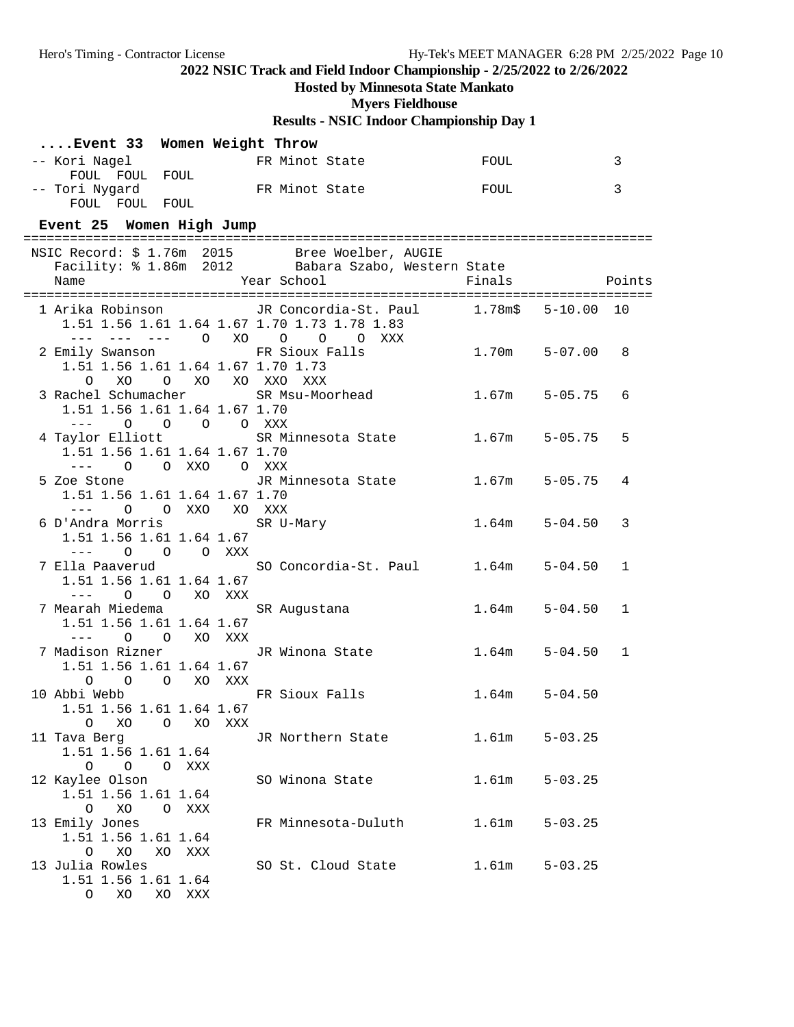# **Hosted by Minnesota State Mankato**

**Myers Fieldhouse**

| Event 33 Women Weight Throw                                    |                                                                                                       |                      |   |
|----------------------------------------------------------------|-------------------------------------------------------------------------------------------------------|----------------------|---|
| -- Kori Nagel FR Minot State<br>FOUL FOUL FOUL                 |                                                                                                       | FOUL                 | 3 |
| -- Tori Nygard<br>FOUL FOUL FOUL                               | FR Minot State                                                                                        | FOUL                 | 3 |
|                                                                |                                                                                                       |                      |   |
| Event 25 Women High Jump                                       |                                                                                                       |                      |   |
|                                                                |                                                                                                       |                      |   |
|                                                                | NSIC Record: \$ 1.76m 2015 Bree Woelber, AUGIE<br>Facility: \$ 1.86m 2012 Babara Szabo, Western State |                      |   |
|                                                                |                                                                                                       |                      |   |
|                                                                | 1 Arika Robinson         JR Concordia-St. Paul       1.78m\$   5-10.00  10                            |                      |   |
| 1.51 1.56 1.61 1.64 1.67 1.70 1.73 1.78 1.83                   |                                                                                                       |                      |   |
| --- --- --- 0 XO 0 0 0 XXX                                     |                                                                                                       |                      |   |
| 2 Emily Swanson FR Sioux Falls                                 |                                                                                                       | 1.70m<br>$5 - 07.00$ | 8 |
| 1.51 1.56 1.61 1.64 1.67 1.70 1.73                             |                                                                                                       |                      |   |
| O XO<br>O XO XO XXO XXX                                        | 3 Rachel Schumacher SR Msu-Moorhead 1.67m                                                             | $5 - 05.75$          | 6 |
| 1.51 1.56 1.61 1.64 1.67 1.70                                  |                                                                                                       |                      |   |
| $--- 0 0 0 0 0 0 0 0 0 0 0$                                    |                                                                                                       |                      |   |
|                                                                | 4 Taylor Elliott SR Minnesota State 1.67m                                                             | $5 - 05.75$          | 5 |
| 1.51 1.56 1.61 1.64 1.67 1.70                                  |                                                                                                       |                      |   |
| O O XXO O XXX                                                  | 5 Zoe Stone The TR Minnesota State                                                                    | 1.67m<br>$5 - 05.75$ | 4 |
| 1.51 1.56 1.61 1.64 1.67 1.70                                  |                                                                                                       |                      |   |
| --- 0 0 XXO XO XXX                                             |                                                                                                       |                      |   |
| 6 D'Andra Morris SR U-Mary                                     |                                                                                                       | $5 - 04.50$<br>1.64m | 3 |
| 1.51 1.56 1.61 1.64 1.67                                       |                                                                                                       |                      |   |
| --- 0 0 0 XXX                                                  |                                                                                                       |                      |   |
| 1.51 1.56 1.61 1.64 1.67                                       | 7 Ella Paaverud                 SO Concordia-St. Paul       1.64m                                     | $5 - 04.50$          | 1 |
|                                                                |                                                                                                       |                      |   |
| 7 Mearah Miedema                                               | SR Augustana                                                                                          | 1.64m<br>$5 - 04.50$ | 1 |
| 1.51 1.56 1.61 1.64 1.67                                       |                                                                                                       |                      |   |
| O O XO XXX                                                     |                                                                                                       |                      |   |
| 7 Madison Rizner (JR Winona State)<br>1.51 1.56 1.61 1.64 1.67 |                                                                                                       | $5 - 04.50$<br>1.64m | 1 |
| O O O XO XXX                                                   |                                                                                                       |                      |   |
| 10 Abbi Webb FR Sioux Falls                                    |                                                                                                       | 1.64m<br>$5 - 04.50$ |   |
| 1.51 1.56 1.61 1.64 1.67                                       |                                                                                                       |                      |   |
| $\circ$<br>XO O<br>XO<br>XXX                                   |                                                                                                       |                      |   |
| 11 Tava Berg<br>1.51 1.56 1.61 1.64                            | JR Northern State                                                                                     | 1.61m<br>$5 - 03.25$ |   |
| $\begin{matrix} 0 & 0 & 0 \end{matrix}$<br>XXX                 |                                                                                                       |                      |   |
| 12 Kaylee Olson                                                | SO Winona State                                                                                       | 1.61m<br>$5 - 03.25$ |   |
| 1.51 1.56 1.61 1.64                                            |                                                                                                       |                      |   |
| XO<br>O XXX<br>$\circ$                                         |                                                                                                       |                      |   |
| 13 Emily Jones                                                 | FR Minnesota-Duluth                                                                                   | $5 - 03.25$<br>1.61m |   |
| 1.51 1.56 1.61 1.64<br>XO<br>XO XXX<br>$\circ$                 |                                                                                                       |                      |   |
| 13 Julia Rowles                                                | SO St. Cloud State                                                                                    | 1.61m<br>$5 - 03.25$ |   |
| 1.51 1.56 1.61 1.64                                            |                                                                                                       |                      |   |
| O XO XO XXX                                                    |                                                                                                       |                      |   |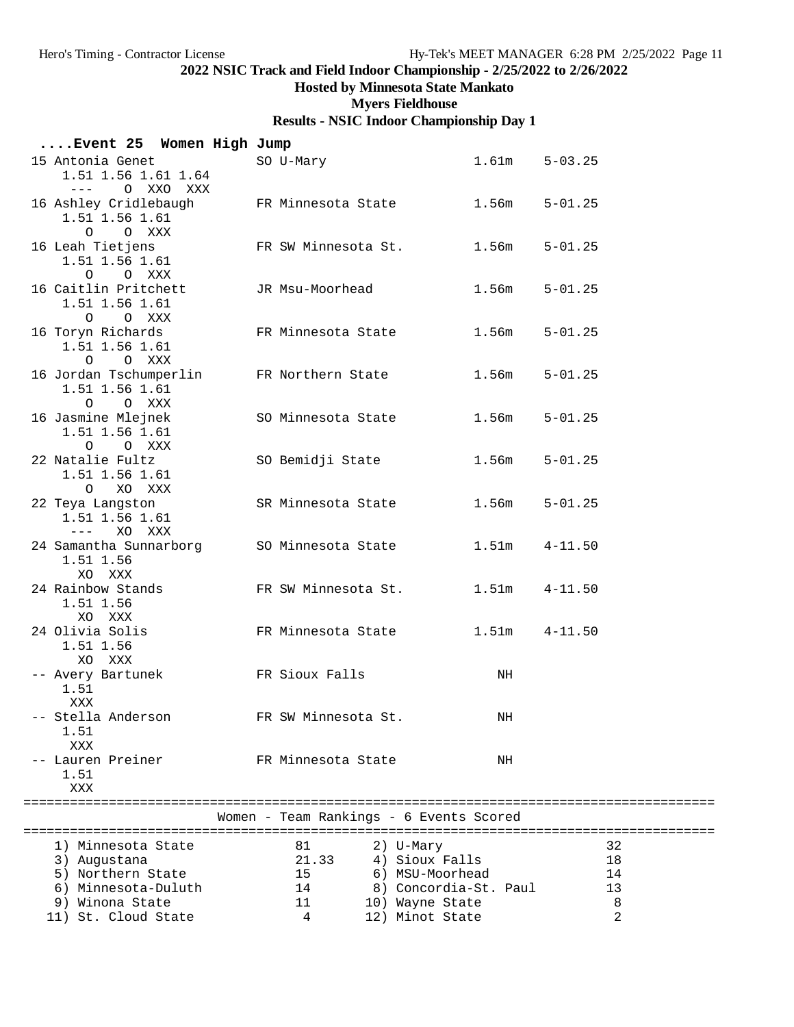## **Hosted by Minnesota State Mankato**

**Myers Fieldhouse**

|                                                   | Event 25 Women High Jump             |                                                         |                       |                |
|---------------------------------------------------|--------------------------------------|---------------------------------------------------------|-----------------------|----------------|
| 15 Antonia Genet                                  | 1.51 1.56 1.61 1.64<br>--- 0 XXO XXX | SO U-Mary                                               | $1.61m$ $5-03.25$     |                |
| 1.51 1.56 1.61<br>O O XXX                         |                                      | 16 Ashley Cridlebaugh FR Minnesota State 1.56m 5-01.25  |                       |                |
| 1.51 1.56 1.61<br>O O XXX                         |                                      | 16 Leah Tietjens TR SW Minnesota St.                    | 1.56m                 | $5 - 01.25$    |
| 16 Caitlin Pritchett<br>1.51 1.56 1.61<br>O O XXX |                                      | JR Msu-Moorhead                                         | 1.56m                 | $5 - 01.25$    |
| 16 Toryn Richards<br>1.51 1.56 1.61<br>O O XXX    |                                      | FR Minnesota State 1.56m                                |                       | $5 - 01.25$    |
| 1.51 1.56 1.61<br>O O XXX                         |                                      | 16 Jordan Tschumperlin FR Northern State 1.56m          |                       | $5 - 01.25$    |
| 16 Jasmine Mlejnek<br>1.51 1.56 1.61<br>O O XXX   |                                      | SO Minnesota State                                      | 1.56m                 | $5 - 01.25$    |
| 22 Natalie Fultz<br>1.51 1.56 1.61<br>O XO XXX    |                                      | SO Bemidji State                                        | 1.56m                 | $5 - 01.25$    |
| 22 Teya Langston<br>1.51 1.56 1.61                |                                      | SR Minnesota State                                      | $1.56m$ $5-01.25$     |                |
| 1.51 1.56<br>XO XXX                               |                                      | 24 Samantha Sunnarborg SO Minnesota State 1.51m 4-11.50 |                       |                |
| 24 Rainbow Stands<br>1.51 1.56<br>XO XXX          |                                      | FR SW Minnesota St. 1.51m                               |                       | $4 - 11.50$    |
| 24 Olivia Solis<br>1.51 1.56<br>XO XXX            |                                      | FR Minnesota State 1.51m 4-11.50                        |                       |                |
| 1.51<br>XXX                                       |                                      | -- Avery Bartunek <a> FR Sioux Falls</a>                | NH                    |                |
| -- Stella Anderson<br>1.51<br>XXX                 |                                      | FR SW Minnesota St.                                     | NH                    |                |
| -- Lauren Preiner<br>1.51<br>XXX                  |                                      | FR Minnesota State                                      | NH                    |                |
|                                                   |                                      | Women - Team Rankings - 6 Events Scored                 |                       |                |
| 1) Minnesota State                                |                                      | 81                                                      | 2) U-Mary             | 32             |
| 3) Augustana                                      |                                      | 21.33                                                   | 4) Sioux Falls        | 18             |
| 5) Northern State                                 |                                      | 15                                                      | 6) MSU-Moorhead       | 14             |
| 6) Minnesota-Duluth                               |                                      | 14                                                      | 8) Concordia-St. Paul | 13             |
| 9) Winona State                                   |                                      | 11                                                      | 10) Wayne State       | 8              |
| 11) St. Cloud State                               |                                      | 4                                                       | 12) Minot State       | $\overline{2}$ |